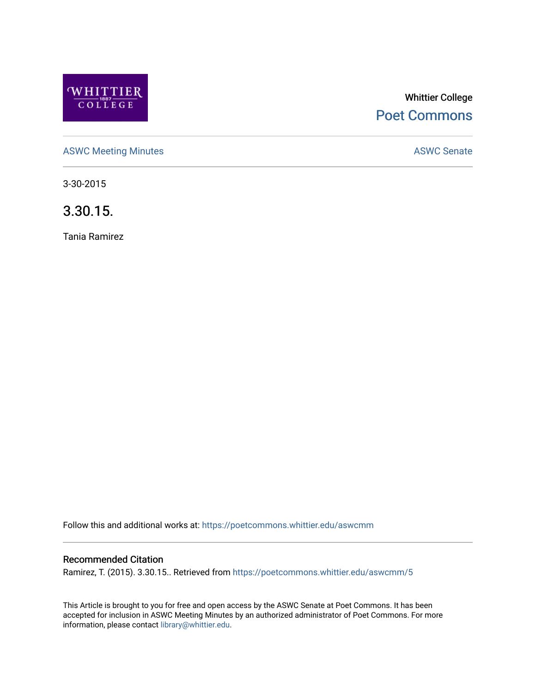

# Whittier College [Poet Commons](https://poetcommons.whittier.edu/)

[ASWC Meeting Minutes](https://poetcommons.whittier.edu/aswcmm) **ASWC Senate** 

3-30-2015

3.30.15.

Tania Ramirez

Follow this and additional works at: [https://poetcommons.whittier.edu/aswcmm](https://poetcommons.whittier.edu/aswcmm?utm_source=poetcommons.whittier.edu%2Faswcmm%2F5&utm_medium=PDF&utm_campaign=PDFCoverPages)

# Recommended Citation

Ramirez, T. (2015). 3.30.15.. Retrieved from [https://poetcommons.whittier.edu/aswcmm/5](https://poetcommons.whittier.edu/aswcmm/5?utm_source=poetcommons.whittier.edu%2Faswcmm%2F5&utm_medium=PDF&utm_campaign=PDFCoverPages) 

This Article is brought to you for free and open access by the ASWC Senate at Poet Commons. It has been accepted for inclusion in ASWC Meeting Minutes by an authorized administrator of Poet Commons. For more information, please contact [library@whittier.edu.](mailto:library@whittier.edu)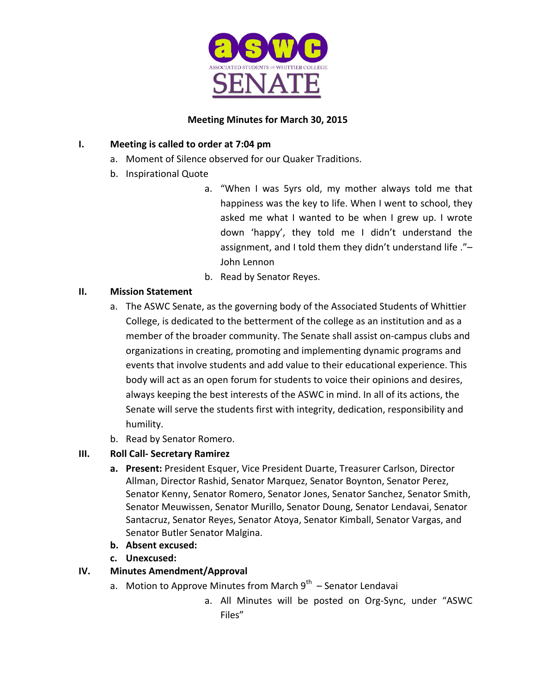

# **Meeting Minutes for March 30, 2015**

# **I.** Meeting is called to order at 7:04 pm

- a. Moment of Silence observed for our Quaker Traditions.
- b. Inspirational Quote
	- a. "When I was 5yrs old, my mother always told me that happiness was the key to life. When I went to school, they asked me what I wanted to be when I grew up. I wrote down 'happy', they told me I didn't understand the assignment, and I told them they didn't understand life ."-John Lennon
	- b. Read by Senator Reyes.

# **II. Mission Statement**

- a. The ASWC Senate, as the governing body of the Associated Students of Whittier College, is dedicated to the betterment of the college as an institution and as a member of the broader community. The Senate shall assist on-campus clubs and organizations in creating, promoting and implementing dynamic programs and events that involve students and add value to their educational experience. This body will act as an open forum for students to voice their opinions and desires, always keeping the best interests of the ASWC in mind. In all of its actions, the Senate will serve the students first with integrity, dedication, responsibility and humility.
- b. Read by Senator Romero.

# **III. Roll Call- Secretary Ramirez**

- **a.** Present: President Esquer, Vice President Duarte, Treasurer Carlson, Director Allman, Director Rashid, Senator Marquez, Senator Boynton, Senator Perez, Senator Kenny, Senator Romero, Senator Jones, Senator Sanchez, Senator Smith, Senator Meuwissen, Senator Murillo, Senator Doung, Senator Lendavai, Senator Santacruz, Senator Reyes, Senator Atoya, Senator Kimball, Senator Vargas, and Senator Butler Senator Malgina.
- **b.** Absent excused:
- **c. Unexcused:**

# **IV. Minutes Amendment/Approval**

- a. Motion to Approve Minutes from March  $9^{th}$  Senator Lendavai
	- a. All Minutes will be posted on Org-Sync, under "ASWC Files"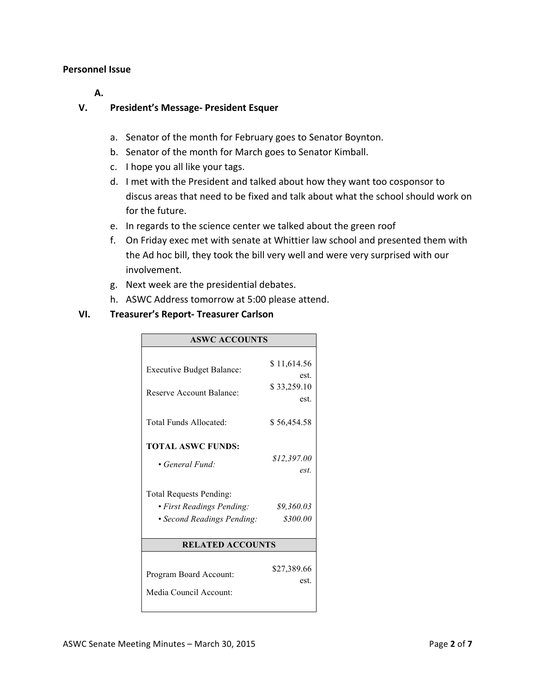#### **Personnel Issue**

**A.** 

# **V.** President's Message- President Esquer

- a. Senator of the month for February goes to Senator Boynton.
- b. Senator of the month for March goes to Senator Kimball.
- c. I hope you all like your tags.
- d. I met with the President and talked about how they want too cosponsor to discus areas that need to be fixed and talk about what the school should work on for the future.
- e. In regards to the science center we talked about the green roof
- f. On Friday exec met with senate at Whittier law school and presented them with the Ad hoc bill, they took the bill very well and were very surprised with our involvement.
- g. Next week are the presidential debates.
- h. ASWC Address tomorrow at 5:00 please attend.

# **VI. Treasurer's Report- Treasurer Carlson**

| <b>ASWC ACCOUNTS</b>             |                     |
|----------------------------------|---------------------|
|                                  |                     |
| <b>Executive Budget Balance:</b> | \$11,614.56<br>est. |
| Reserve Account Balance:         | \$33,259.10         |
|                                  | est.                |
|                                  |                     |
| Total Funds Allocated:           | \$56,454.58         |
| <b>TOTAL ASWC FUNDS:</b>         |                     |
|                                  | \$12,397.00         |
| • General Fund:                  | est.                |
| <b>Total Requests Pending:</b>   |                     |
| • First Readings Pending:        | \$9,360.03          |
| • Second Readings Pending:       | \$300.00            |
|                                  |                     |
| <b>RELATED ACCOUNTS</b>          |                     |
|                                  | \$27,389.66         |
| Program Board Account:           | est.                |
| Media Council Account:           |                     |
|                                  |                     |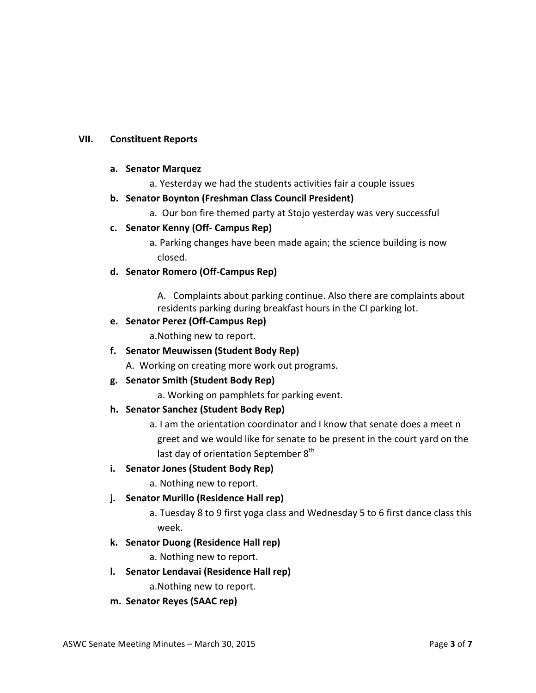# **VII. Constituent Reports**

#### **a. Senator Marquez**

a. Yesterday we had the students activities fair a couple issues

# **b.** Senator Boynton (Freshman Class Council President)

a. Our bon fire themed party at Stojo yesterday was very successful

# **c. Senator Kenny (Off- Campus Rep)**

a. Parking changes have been made again; the science building is now closed. 

# **d. Senator Romero (Off-Campus Rep)**

A. Complaints about parking continue. Also there are complaints about residents parking during breakfast hours in the CI parking lot.

#### **e. Senator Perez (Off-Campus Rep)**

a. Nothing new to report.

# **f. Senator Meuwissen (Student Body Rep)**

A. Working on creating more work out programs.

# **g. Senator Smith (Student Body Rep)**

a. Working on pamphlets for parking event.

# **h. Senator Sanchez (Student Body Rep)**

a. I am the orientation coordinator and I know that senate does a meet n greet and we would like for senate to be present in the court vard on the last day of orientation September  $8<sup>th</sup>$ 

# **i.** Senator Jones (Student Body Rep)

a. Nothing new to report.

# **j.** Senator Murillo (Residence Hall rep)

a. Tuesday 8 to 9 first yoga class and Wednesday 5 to 6 first dance class this week. 

#### **k. Senator Duong (Residence Hall rep)**

a. Nothing new to report.

# **l.** Senator Lendavai (Residence Hall rep)

a. Nothing new to report.

#### **m. Senator Reyes (SAAC rep)**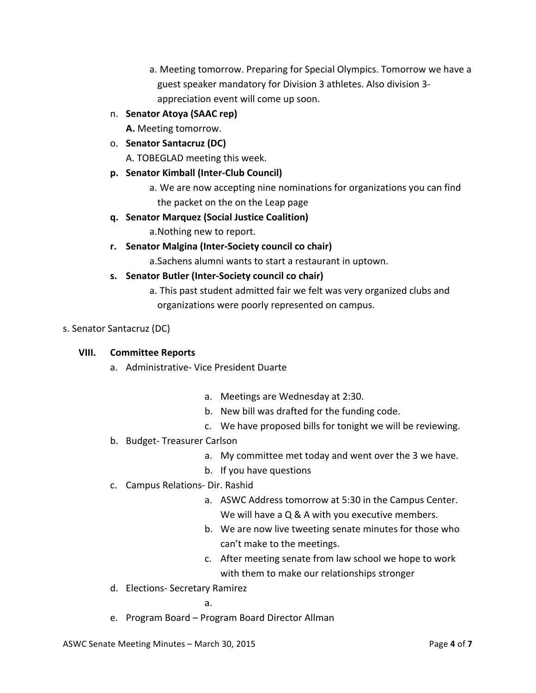- a. Meeting tomorrow. Preparing for Special Olympics. Tomorrow we have a guest speaker mandatory for Division 3 athletes. Also division 3appreciation event will come up soon.
- n. **Senator Atoya (SAAC rep)**

A. Meeting tomorrow.

o. **Senator Santacruz (DC)**

A. TOBEGLAD meeting this week.

- **p. Senator Kimball (Inter-Club Council)**
	- a. We are now accepting nine nominations for organizations you can find the packet on the on the Leap page
- **q. Senator Marquez (Social Justice Coalition)**
	- a. Nothing new to report.
- **r. Senator Malgina (Inter-Society council co chair)**

a. Sachens alumni wants to start a restaurant in uptown.

- **s.** Senator Butler (Inter-Society council co chair)
	- a. This past student admitted fair we felt was very organized clubs and organizations were poorly represented on campus.
- s. Senator Santacruz (DC)

# **VIII. Committee Reports**

- a. Administrative- Vice President Duarte
	- a. Meetings are Wednesday at 2:30.
	- b. New bill was drafted for the funding code.
	- c. We have proposed bills for tonight we will be reviewing.
- b. Budget-Treasurer Carlson
	- a. My committee met today and went over the 3 we have.
	- b. If you have questions
- c. Campus Relations- Dir. Rashid
	- a. ASWC Address tomorrow at 5:30 in the Campus Center. We will have a  $Q & A$  with you executive members.
	- b. We are now live tweeting senate minutes for those who can't make to the meetings.
	- c. After meeting senate from law school we hope to work with them to make our relationships stronger
- d. Elections- Secretary Ramirez

a.

e. Program Board - Program Board Director Allman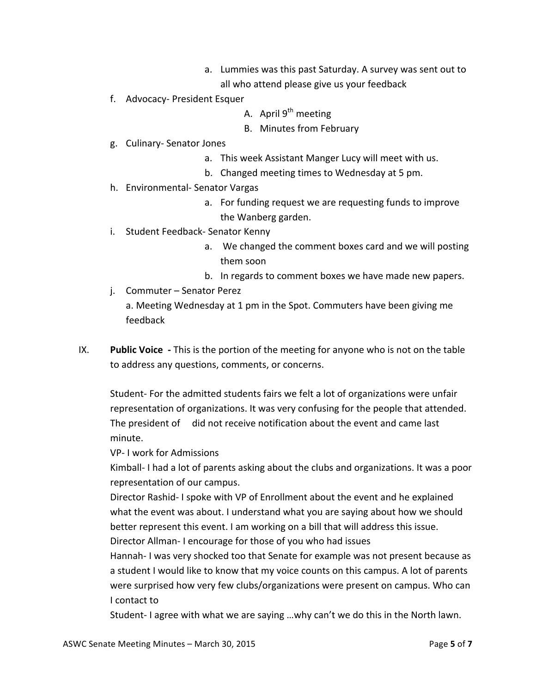- a. Lummies was this past Saturday. A survey was sent out to
	- all who attend please give us your feedback
- f. Advocacy- President Esquer
	- A. April  $9^{th}$  meeting
	- B. Minutes from February
- g. Culinary- Senator Jones
	- a. This week Assistant Manger Lucy will meet with us.
	- b. Changed meeting times to Wednesday at 5 pm.
- h. Environmental- Senator Vargas
	- a. For funding request we are requesting funds to improve the Wanberg garden.
- i. Student Feedback- Senator Kenny
	- a. We changed the comment boxes card and we will posting them soon
	- b. In regards to comment boxes we have made new papers.
- j. Commuter Senator Perez

a. Meeting Wednesday at 1 pm in the Spot. Commuters have been giving me feedback 

IX. Public Voice - This is the portion of the meeting for anyone who is not on the table to address any questions, comments, or concerns.

Student- For the admitted students fairs we felt a lot of organizations were unfair representation of organizations. It was very confusing for the people that attended. The president of did not receive notification about the event and came last minute. 

VP- I work for Admissions

Kimball- I had a lot of parents asking about the clubs and organizations. It was a poor representation of our campus.

Director Rashid- I spoke with VP of Enrollment about the event and he explained what the event was about. I understand what you are saying about how we should better represent this event. I am working on a bill that will address this issue.

Director Allman- I encourage for those of you who had issues

Hannah- I was very shocked too that Senate for example was not present because as a student I would like to know that my voice counts on this campus. A lot of parents were surprised how very few clubs/organizations were present on campus. Who can I contact to

Student- I agree with what we are saying ...why can't we do this in the North lawn.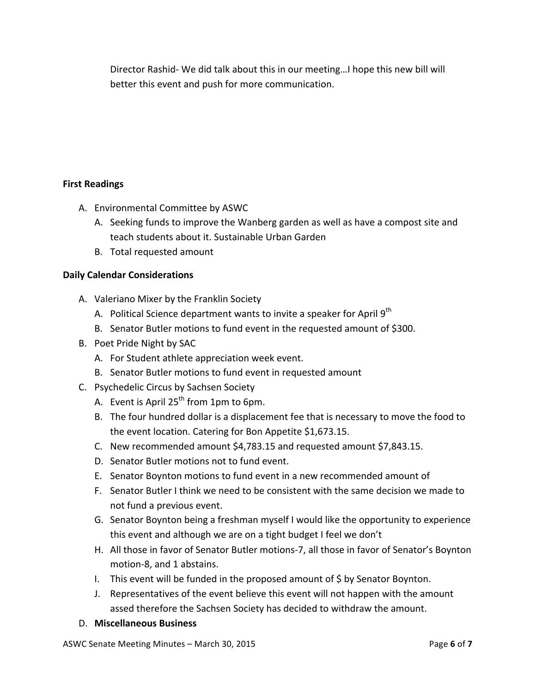Director Rashid- We did talk about this in our meeting... I hope this new bill will better this event and push for more communication.

# **First Readings**

- A. Environmental Committee by ASWC
	- A. Seeking funds to improve the Wanberg garden as well as have a compost site and teach students about it. Sustainable Urban Garden
	- B. Total requested amount

# **Daily Calendar Considerations**

- A. Valeriano Mixer by the Franklin Society
	- A. Political Science department wants to invite a speaker for April 9<sup>th</sup>
	- B. Senator Butler motions to fund event in the requested amount of \$300.
- B. Poet Pride Night by SAC
	- A. For Student athlete appreciation week event.
	- B. Senator Butler motions to fund event in requested amount
- C. Psychedelic Circus by Sachsen Society
	- A. Event is April  $25<sup>th</sup>$  from 1pm to 6pm.
	- B. The four hundred dollar is a displacement fee that is necessary to move the food to the event location. Catering for Bon Appetite \$1,673.15.
	- C. New recommended amount \$4,783.15 and requested amount \$7,843.15.
	- D. Senator Butler motions not to fund event.
	- E. Senator Boynton motions to fund event in a new recommended amount of
	- F. Senator Butler I think we need to be consistent with the same decision we made to not fund a previous event.
	- G. Senator Boynton being a freshman myself I would like the opportunity to experience this event and although we are on a tight budget I feel we don't
	- H. All those in favor of Senator Butler motions-7, all those in favor of Senator's Boynton motion-8, and 1 abstains.
	- I. This event will be funded in the proposed amount of  $\zeta$  by Senator Boynton.
	- J. Representatives of the event believe this event will not happen with the amount assed therefore the Sachsen Society has decided to withdraw the amount.
- D. **Miscellaneous Business**

ASWC Senate Meeting Minutes – March 30, 2015 **Page 6** of 7